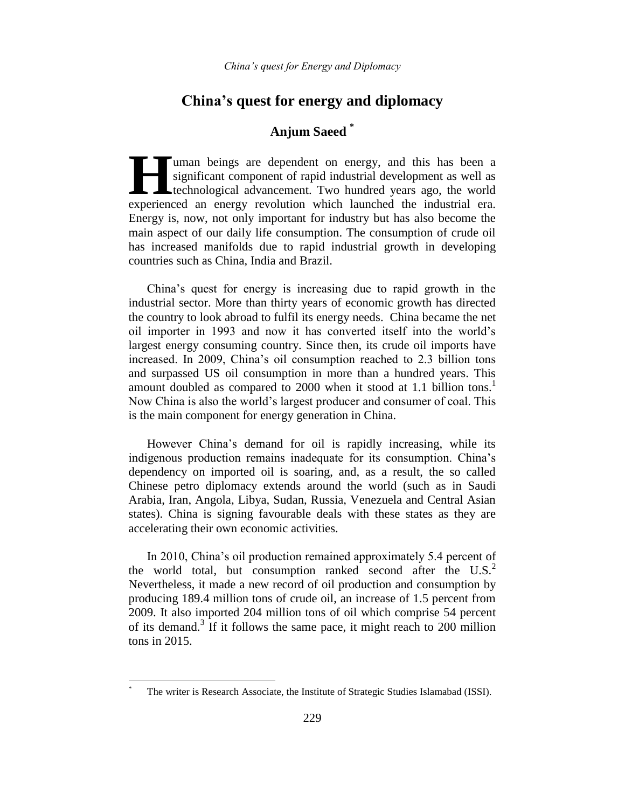# **China's quest for energy and diplomacy**

# **Anjum Saeed \***

uman beings are dependent on energy, and this has been a significant component of rapid industrial development as well as technological advancement. Two hundred years ago, the world I uman beings are dependent on energy, and this has been a significant component of rapid industrial development as well as technological advancement. Two hundred years ago, the world experienced an energy revolution which Energy is, now, not only important for industry but has also become the main aspect of our daily life consumption. The consumption of crude oil has increased manifolds due to rapid industrial growth in developing countries such as China, India and Brazil.

China"s quest for energy is increasing due to rapid growth in the industrial sector. More than thirty years of economic growth has directed the country to look abroad to fulfil its energy needs. China became the net oil importer in 1993 and now it has converted itself into the world"s largest energy consuming country. Since then, its crude oil imports have increased. In 2009, China"s oil consumption reached to 2.3 billion tons and surpassed US oil consumption in more than a hundred years. This amount doubled as compared to 2000 when it stood at 1.1 billion tons.<sup>1</sup> Now China is also the world"s largest producer and consumer of coal. This is the main component for energy generation in China.

However China"s demand for oil is rapidly increasing, while its indigenous production remains inadequate for its consumption. China"s dependency on imported oil is soaring, and, as a result, the so called Chinese petro diplomacy extends around the world (such as in Saudi Arabia, Iran, Angola, Libya, Sudan, Russia, Venezuela and Central Asian states). China is signing favourable deals with these states as they are accelerating their own economic activities.

In 2010, China's oil production remained approximately 5.4 percent of the world total, but consumption ranked second after the  $U.S.<sup>2</sup>$ Nevertheless, it made a new record of oil production and consumption by producing 189.4 million tons of crude oil, an increase of 1.5 percent from 2009. It also imported 204 million tons of oil which comprise 54 percent of its demand.<sup>3</sup> If it follows the same pace, it might reach to 200 million tons in 2015.

 $\overline{a}$ 

The writer is Research Associate, the Institute of Strategic Studies Islamabad (ISSI).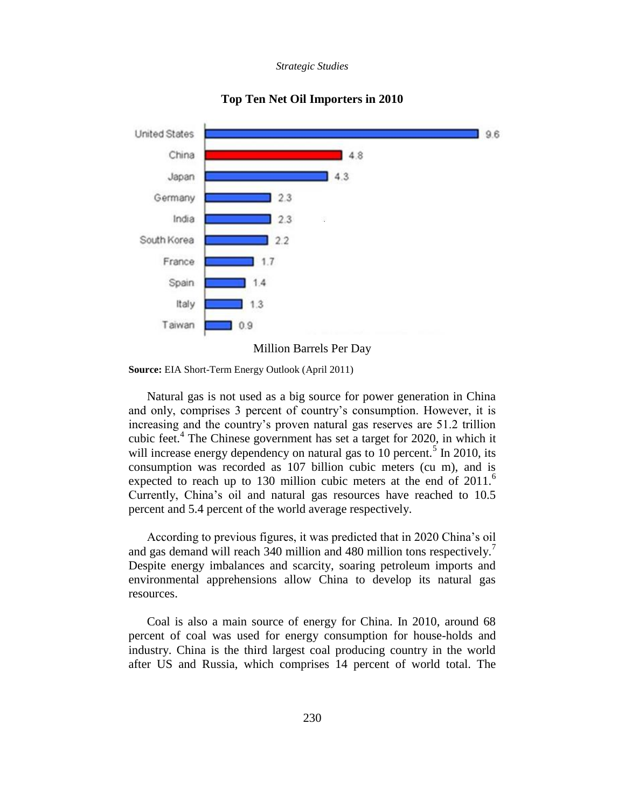*Strategic Studies*



#### **Top Ten Net Oil Importers in 2010**

Million Barrels Per Day

**Source:** EIA Short-Term Energy Outlook (April 2011)

Natural gas is not used as a big source for power generation in China and only, comprises 3 percent of country"s consumption. However, it is increasing and the country"s proven natural gas reserves are 51.2 trillion cubic feet.<sup>4</sup> The Chinese government has set a target for 2020, in which it will increase energy dependency on natural gas to  $10$  percent.<sup>5</sup> In 2010, its consumption was recorded as 107 billion cubic meters (cu m), and is expected to reach up to 130 million cubic meters at the end of  $2011$ .<sup>6</sup> Currently, China"s oil and natural gas resources have reached to 10.5 percent and 5.4 percent of the world average respectively.

According to previous figures, it was predicted that in 2020 China"s oil and gas demand will reach 340 million and 480 million tons respectively.<sup>7</sup> Despite energy imbalances and scarcity, soaring petroleum imports and environmental apprehensions allow China to develop its natural gas resources.

Coal is also a main source of energy for China. In 2010, around 68 percent of coal was used for energy consumption for house-holds and industry. China is the third largest coal producing country in the world after US and Russia, which comprises 14 percent of world total. The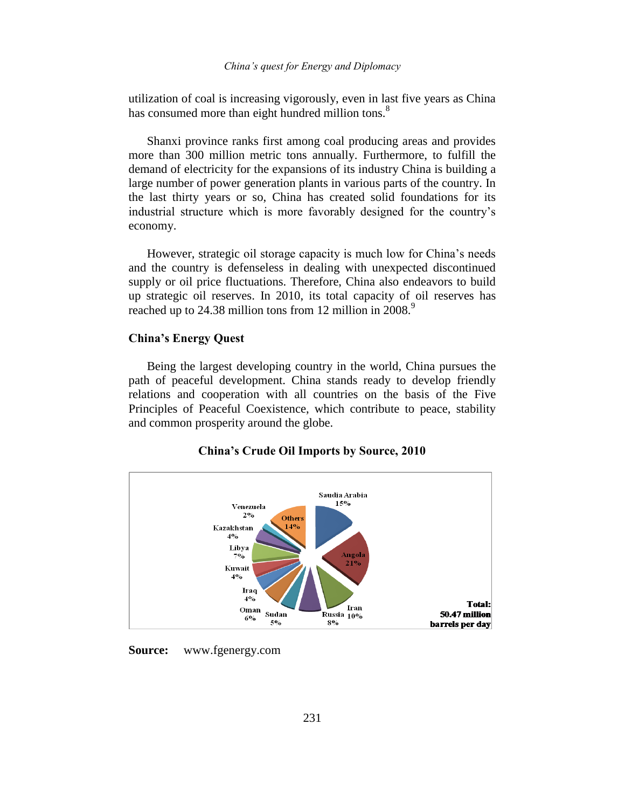#### *China's quest for Energy and Diplomacy*

utilization of coal is increasing vigorously, even in last five years as China has consumed more than eight hundred million tons.<sup>8</sup>

Shanxi province ranks first among coal producing areas and provides more than 300 million metric tons annually. Furthermore, to fulfill the demand of electricity for the expansions of its industry China is building a large number of power generation plants in various parts of the country. In the last thirty years or so, China has created solid foundations for its industrial structure which is more favorably designed for the country"s economy.

However, strategic oil storage capacity is much low for China"s needs and the country is defenseless in dealing with unexpected discontinued supply or oil price fluctuations. Therefore, China also endeavors to build up strategic oil reserves. In 2010, its total capacity of oil reserves has reached up to 24.38 million tons from 12 million in 2008.<sup>9</sup>

### **China's Energy Quest**

Being the largest developing country in the world, China pursues the path of peaceful development. China stands ready to develop friendly relations and cooperation with all countries on the basis of the Five Principles of Peaceful Coexistence, which contribute to peace, stability and common prosperity around the globe.

# **China's Crude Oil Imports by Source, 2010**



# **Source:** www.fgenergy.com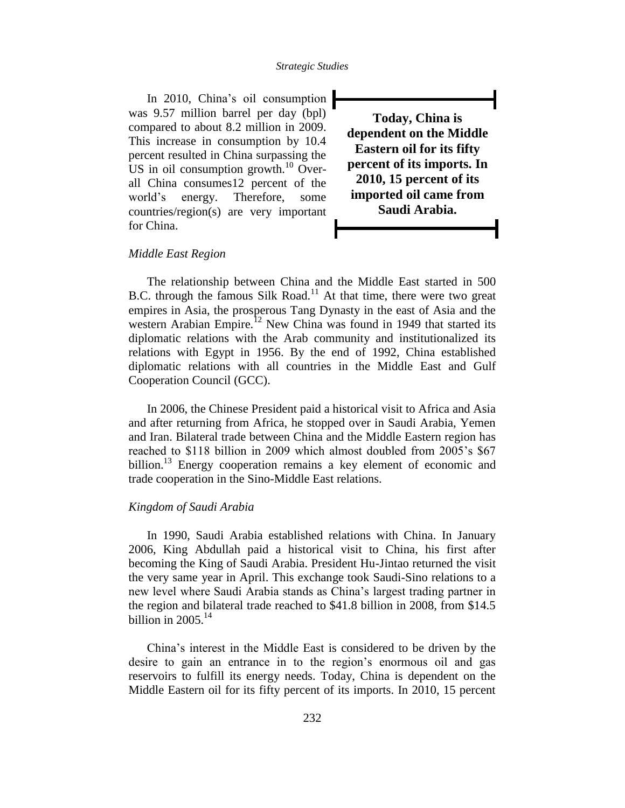In 2010, China"s oil consumption was 9.57 million barrel per day (bpl) compared to about 8.2 million in 2009. This increase in consumption by 10.4 percent resulted in China surpassing the US in oil consumption growth. $^{10}$  Overall China consumes12 percent of the world"s energy. Therefore, some countries/region(s) are very important for China.

**Today, China is dependent on the Middle Eastern oil for its fifty percent of its imports. In 2010, 15 percent of its imported oil came from Saudi Arabia.**

# *Middle East Region*

The relationship between China and the Middle East started in 500 B.C. through the famous Silk Road.<sup>11</sup> At that time, there were two great empires in Asia, the prosperous Tang Dynasty in the east of Asia and the western Arabian Empire.<sup>12</sup> New China was found in 1949 that started its diplomatic relations with the Arab community and institutionalized its relations with Egypt in 1956. By the end of 1992, China established diplomatic relations with all countries in the Middle East and Gulf Cooperation Council (GCC).

In 2006, the Chinese President paid a historical visit to Africa and Asia and after returning from Africa, he stopped over in Saudi Arabia, Yemen and Iran. Bilateral trade between China and the Middle Eastern region has reached to \$118 billion in 2009 which almost doubled from 2005's \$67 billion.<sup>13</sup> Energy cooperation remains a key element of economic and trade cooperation in the Sino-Middle East relations.

### *Kingdom of Saudi Arabia*

In 1990, Saudi Arabia established relations with China. In January 2006, King Abdullah paid a historical visit to China, his first after becoming the King of Saudi Arabia. President Hu-Jintao returned the visit the very same year in April. This exchange took Saudi-Sino relations to a new level where Saudi Arabia stands as China"s largest trading partner in the region and bilateral trade reached to \$41.8 billion in 2008, from \$14.5 billion in  $2005<sup>14</sup>$ 

China"s interest in the Middle East is considered to be driven by the desire to gain an entrance in to the region's enormous oil and gas reservoirs to fulfill its energy needs. Today, China is dependent on the Middle Eastern oil for its fifty percent of its imports. In 2010, 15 percent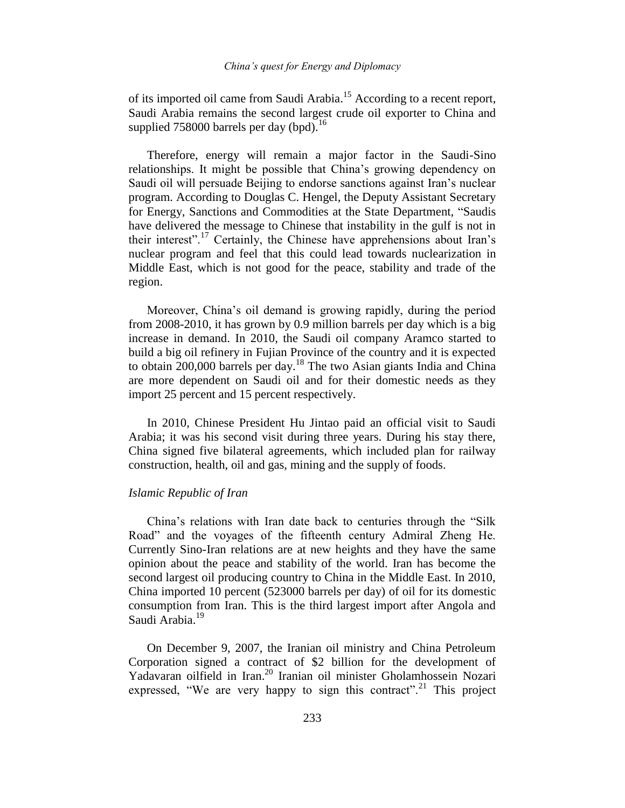#### *China's quest for Energy and Diplomacy*

of its imported oil came from Saudi Arabia.<sup>15</sup> According to a recent report, Saudi Arabia remains the second largest crude oil exporter to China and supplied 758000 barrels per day (bpd).<sup>16</sup>

Therefore, energy will remain a major factor in the Saudi-Sino relationships. It might be possible that China"s growing dependency on Saudi oil will persuade Beijing to endorse sanctions against Iran"s nuclear program. According to Douglas C. Hengel, the Deputy Assistant Secretary for Energy, Sanctions and Commodities at the State Department, "Saudis have delivered the message to Chinese that instability in the gulf is not in their interest".<sup>17</sup> Certainly, the Chinese have apprehensions about Iran's nuclear program and feel that this could lead towards nuclearization in Middle East, which is not good for the peace, stability and trade of the region.

Moreover, China's oil demand is growing rapidly, during the period from 2008-2010, it has grown by 0.9 million barrels per day which is a big increase in demand. In 2010, the Saudi oil company Aramco started to build a big oil refinery in Fujian Province of the country and it is expected to obtain 200,000 barrels per day.<sup>18</sup> The two Asian giants India and China are more dependent on Saudi oil and for their domestic needs as they import 25 percent and 15 percent respectively.

In 2010, Chinese President Hu Jintao paid an official visit to Saudi Arabia; it was his second visit during three years. During his stay there, China signed five bilateral agreements, which included plan for railway construction, health, oil and gas, mining and the supply of foods.

# *Islamic Republic of Iran*

China"s relations with Iran date back to centuries through the "Silk Road" and the voyages of the fifteenth century Admiral Zheng He. Currently Sino-Iran relations are at new heights and they have the same opinion about the peace and stability of the world. Iran has become the second largest oil producing country to China in the Middle East. In 2010, China imported 10 percent (523000 barrels per day) of oil for its domestic consumption from Iran. This is the third largest import after Angola and Saudi Arabia.<sup>19</sup>

On December 9, 2007, the Iranian oil ministry and China Petroleum Corporation signed a contract of \$2 billion for the development of Yadavaran oilfield in Iran.<sup>20</sup> Iranian oil minister Gholamhossein Nozari expressed, "We are very happy to sign this contract".<sup>21</sup> This project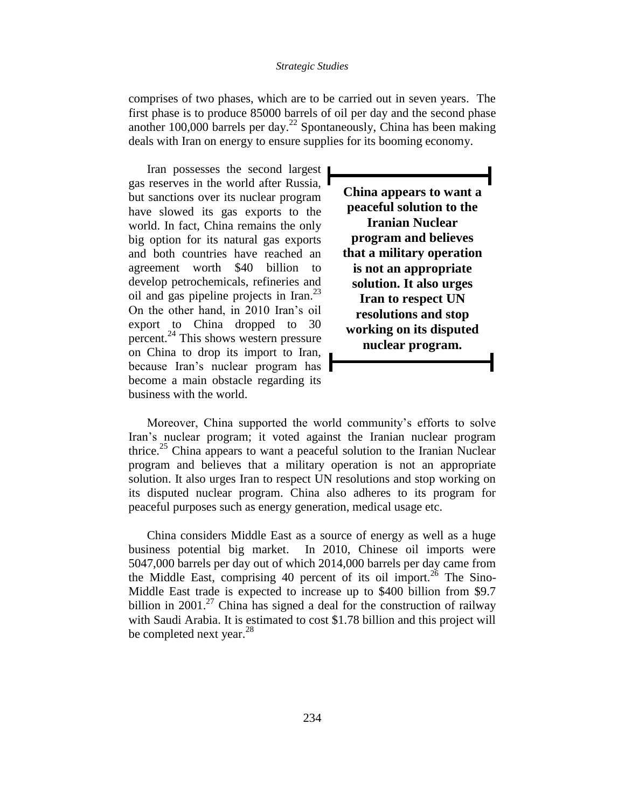comprises of two phases, which are to be carried out in seven years. The first phase is to produce 85000 barrels of oil per day and the second phase another 100,000 barrels per day.<sup>22</sup> Spontaneously, China has been making deals with Iran on energy to ensure supplies for its booming economy.

Iran possesses the second largest gas reserves in the world after Russia, but sanctions over its nuclear program have slowed its gas exports to the world. In fact, China remains the only big option for its natural gas exports and both countries have reached an agreement worth \$40 billion to develop petrochemicals, refineries and oil and gas pipeline projects in Iran.<sup>23</sup> On the other hand, in 2010 Iran"s oil export to China dropped to 30 percent.<sup>24</sup> This shows western pressure on China to drop its import to Iran, because Iran"s nuclear program has become a main obstacle regarding its business with the world.

**China appears to want a peaceful solution to the Iranian Nuclear program and believes that a military operation is not an appropriate solution. It also urges Iran to respect UN resolutions and stop working on its disputed nuclear program.**

Moreover, China supported the world community"s efforts to solve Iran"s nuclear program; it voted against the Iranian nuclear program thrice.<sup>25</sup> China appears to want a peaceful solution to the Iranian Nuclear program and believes that a military operation is not an appropriate solution. It also urges Iran to respect UN resolutions and stop working on its disputed nuclear program. China also adheres to its program for peaceful purposes such as energy generation, medical usage etc.

China considers Middle East as a source of energy as well as a huge business potential big market. In 2010, Chinese oil imports were 5047,000 barrels per day out of which 2014,000 barrels per day came from the Middle East, comprising 40 percent of its oil import.<sup>26</sup> The Sino-Middle East trade is expected to increase up to \$400 billion from \$9.7 billion in 2001.<sup>27</sup> China has signed a deal for the construction of railway with Saudi Arabia. It is estimated to cost \$1.78 billion and this project will be completed next year.<sup>28</sup>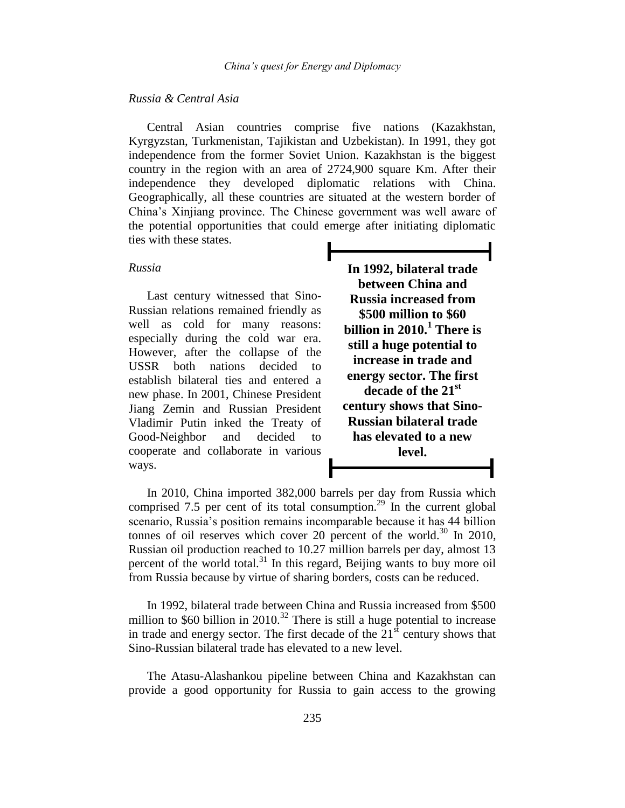### *Russia & Central Asia*

Central Asian countries comprise five nations (Kazakhstan, Kyrgyzstan, Turkmenistan, Tajikistan and Uzbekistan). In 1991, they got independence from the former Soviet Union. Kazakhstan is the biggest country in the region with an area of 2724,900 square Km. After their independence they developed diplomatic relations with China. Geographically, all these countries are situated at the western border of China"s Xinjiang province. The Chinese government was well aware of the potential opportunities that could emerge after initiating diplomatic ties with these states.

#### *Russia*

Last century witnessed that Sino-Russian relations remained friendly as well as cold for many reasons: especially during the cold war era. However, after the collapse of the USSR both nations decided to establish bilateral ties and entered a new phase. In 2001, Chinese President Jiang Zemin and Russian President Vladimir Putin inked the Treaty of Good-Neighbor and decided to cooperate and collaborate in various ways.

**In 1992, bilateral trade between China and Russia increased from \$500 million to \$60 billion in 2010.<sup>1</sup> There is still a huge potential to increase in trade and energy sector. The first decade of the 21st century shows that Sino-Russian bilateral trade has elevated to a new level.**

In 2010, China imported 382,000 barrels per day from Russia which comprised 7.5 per cent of its total consumption.<sup>29</sup> In the current global scenario, Russia's position remains incomparable because it has 44 billion tonnes of oil reserves which cover 20 percent of the world.<sup>30</sup> In 2010, Russian oil production reached to 10.27 million barrels per day, almost 13 percent of the world total. $31$  In this regard, Beijing wants to buy more oil from Russia because by virtue of sharing borders, costs can be reduced.

In 1992, bilateral trade between China and Russia increased from \$500 million to \$60 billion in 2010.<sup>32</sup> There is still a huge potential to increase in trade and energy sector. The first decade of the  $21<sup>st</sup>$  century shows that Sino-Russian bilateral trade has elevated to a new level.

The Atasu-Alashankou pipeline between China and Kazakhstan can provide a good opportunity for Russia to gain access to the growing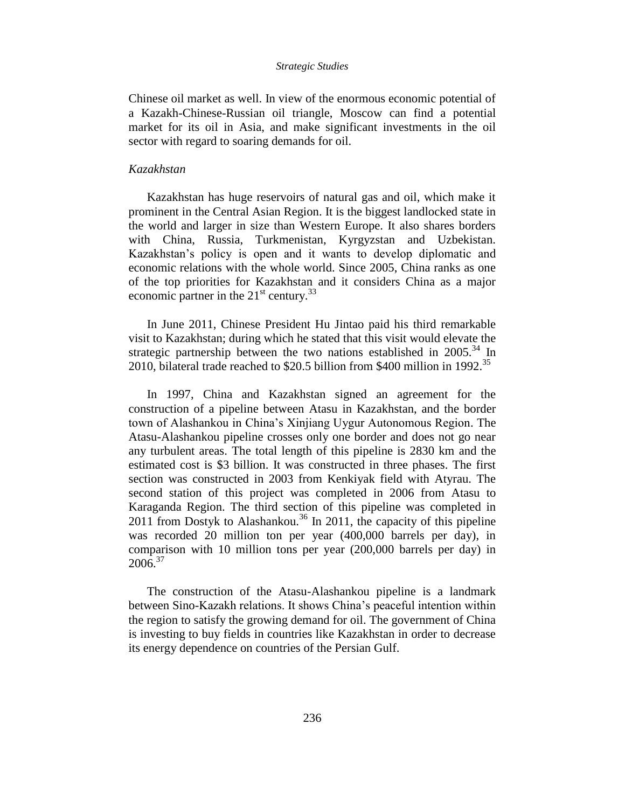Chinese oil market as well. In view of the enormous economic potential of a Kazakh-Chinese-Russian oil triangle, Moscow can find a potential market for its oil in Asia, and make significant investments in the oil sector with regard to soaring demands for oil.

### *Kazakhstan*

Kazakhstan has huge reservoirs of natural gas and oil, which make it prominent in the Central Asian Region. It is the biggest landlocked state in the world and larger in size than Western Europe. It also shares borders with China, Russia, Turkmenistan, Kyrgyzstan and Uzbekistan. Kazakhstan"s policy is open and it wants to develop diplomatic and economic relations with the whole world. Since 2005, China ranks as one of the top priorities for Kazakhstan and it considers China as a major economic partner in the  $21<sup>st</sup>$  century.<sup>33</sup>

In June 2011, Chinese President Hu Jintao paid his third remarkable visit to Kazakhstan; during which he stated that this visit would elevate the strategic partnership between the two nations established in  $2005$ .<sup>34</sup> In 2010, bilateral trade reached to \$20.5 billion from \$400 million in 1992.<sup>35</sup>

In 1997, China and Kazakhstan signed an agreement for the construction of a pipeline between Atasu in Kazakhstan, and the border town of Alashankou in China"s Xinjiang Uygur Autonomous Region. The Atasu-Alashankou pipeline crosses only one border and does not go near any turbulent areas. The total length of this pipeline is 2830 km and the estimated cost is \$3 billion. It was constructed in three phases. The first section was constructed in 2003 from Kenkiyak field with Atyrau. The second station of this project was completed in 2006 from Atasu to Karaganda Region. The third section of this pipeline was completed in 2011 from Dostyk to Alashankou.<sup>36</sup> In 2011, the capacity of this pipeline was recorded 20 million ton per year (400,000 barrels per day), in comparison with 10 million tons per year (200,000 barrels per day) in  $2006^{37}$ 

The construction of the Atasu-Alashankou pipeline is a landmark between Sino-Kazakh relations. It shows China"s peaceful intention within the region to satisfy the growing demand for oil. The government of China is investing to buy fields in countries like Kazakhstan in order to decrease its energy dependence on countries of the Persian Gulf.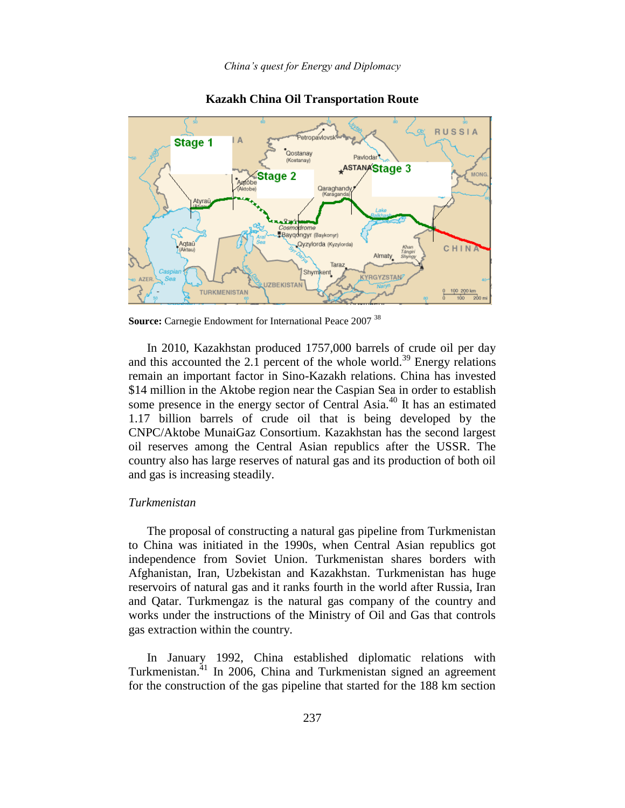

#### **Kazakh China Oil Transportation Route**

**Source:** Carnegie Endowment for International Peace 2007 <sup>38</sup>

In 2010, Kazakhstan produced 1757,000 barrels of crude oil per day and this accounted the 2.1 percent of the whole world.<sup>39</sup> Energy relations remain an important factor in Sino-Kazakh relations. China has invested \$14 million in the Aktobe region near the Caspian Sea in order to establish some presence in the energy sector of Central Asia.<sup>40</sup> It has an estimated 1.17 billion barrels of crude oil that is being developed by the CNPC/Aktobe MunaiGaz Consortium. Kazakhstan has the second largest oil reserves among the Central Asian republics after the USSR. The country also has large reserves of natural gas and its production of both oil and gas is increasing steadily.

### *Turkmenistan*

The proposal of constructing a natural gas pipeline from Turkmenistan to China was initiated in the 1990s, when Central Asian republics got independence from Soviet Union. Turkmenistan shares borders with Afghanistan, Iran, Uzbekistan and Kazakhstan. Turkmenistan has huge reservoirs of natural gas and it ranks fourth in the world after Russia, Iran and Qatar. Turkmengaz is the natural gas company of the country and works under the instructions of the Ministry of Oil and Gas that controls gas extraction within the country.

In January 1992, China established diplomatic relations with Turkmenistan.<sup>41</sup> In 2006, China and Turkmenistan signed an agreement for the construction of the gas pipeline that started for the 188 km section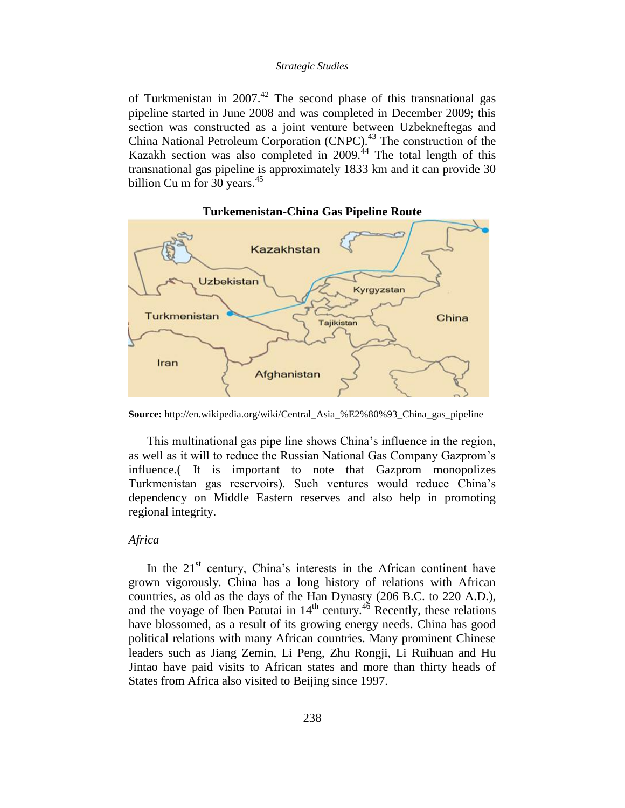of Turkmenistan in 2007.<sup>42</sup> The second phase of this transnational gas pipeline started in June 2008 and was completed in December 2009; this section was constructed as a joint venture between Uzbekneftegas and China National Petroleum Corporation (CNPC).<sup>43</sup> The construction of the Kazakh section was also completed in 2009.<sup>44</sup> The total length of this transnational gas pipeline is approximately 1833 km and it can provide 30 billion Cu m for 30 years. $45$ 



#### **Turkemenistan-China Gas Pipeline Route**

**Source:** http://en.wikipedia.org/wiki/Central\_Asia\_%E2%80%93\_China\_gas\_pipeline

This multinational gas pipe line shows China"s influence in the region, as well as it will to reduce the Russian National Gas Company Gazprom"s influence.( It is important to note that Gazprom monopolizes Turkmenistan gas reservoirs). Such ventures would reduce China"s dependency on Middle Eastern reserves and also help in promoting regional integrity.

### *Africa*

In the  $21<sup>st</sup>$  century, China's interests in the African continent have grown vigorously. China has a long history of relations with African countries, as old as the days of the Han Dynasty (206 B.C. to 220 A.D.), and the voyage of Iben Patutai in  $14^{\text{th}}$  century.<sup>46</sup> Recently, these relations have blossomed, as a result of its growing energy needs. China has good political relations with many African countries. Many prominent Chinese leaders such as Jiang Zemin, Li Peng, Zhu Rongji, Li Ruihuan and Hu Jintao have paid visits to African states and more than thirty heads of States from Africa also visited to Beijing since 1997.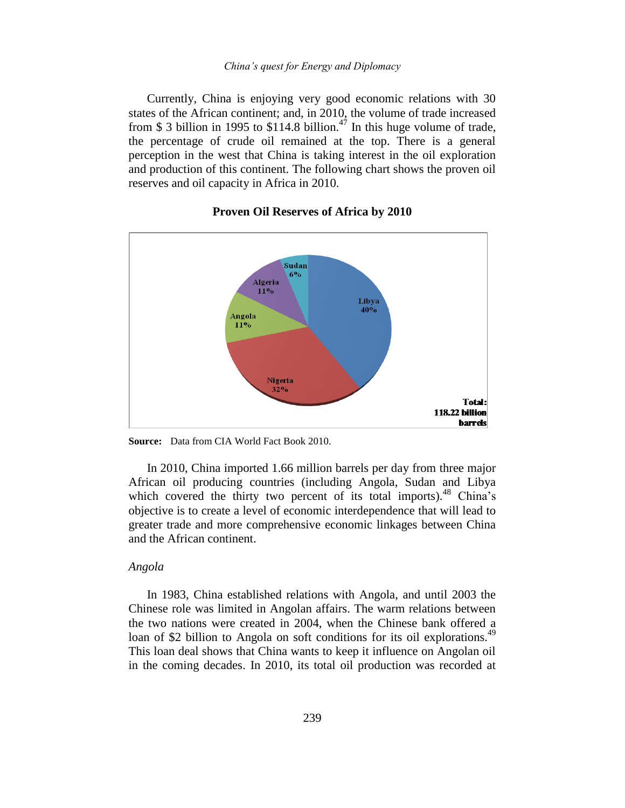#### *China's quest for Energy and Diplomacy*

Currently, China is enjoying very good economic relations with 30 states of the African continent; and, in 2010, the volume of trade increased from \$ 3 billion in 1995 to \$114.8 billion.<sup>47</sup> In this huge volume of trade, the percentage of crude oil remained at the top. There is a general perception in the west that China is taking interest in the oil exploration and production of this continent. The following chart shows the proven oil reserves and oil capacity in Africa in 2010.



### **Proven Oil Reserves of Africa by 2010**

**Source:** Data from CIA World Fact Book 2010.

In 2010, China imported 1.66 million barrels per day from three major African oil producing countries (including Angola, Sudan and Libya which covered the thirty two percent of its total imports).<sup>48</sup> China's objective is to create a level of economic interdependence that will lead to greater trade and more comprehensive economic linkages between China and the African continent.

# *Angola*

In 1983, China established relations with Angola, and until 2003 the Chinese role was limited in Angolan affairs. The warm relations between the two nations were created in 2004, when the Chinese bank offered a loan of \$2 billion to Angola on soft conditions for its oil explorations.<sup>49</sup> This loan deal shows that China wants to keep it influence on Angolan oil in the coming decades. In 2010, its total oil production was recorded at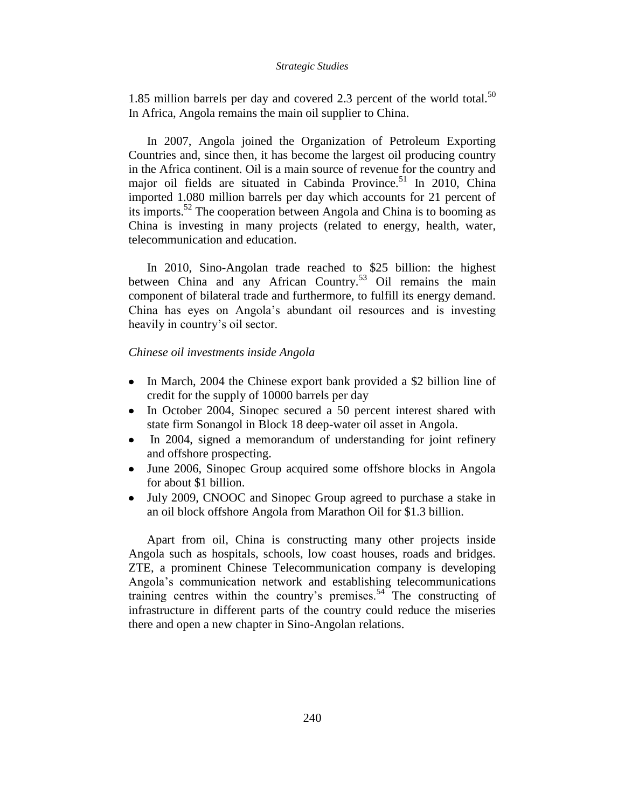1.85 million barrels per day and covered 2.3 percent of the world total.<sup>50</sup> In Africa, Angola remains the main oil supplier to China.

In 2007, Angola joined the Organization of Petroleum Exporting Countries and, since then, it has become the largest oil producing country in the Africa continent. Oil is a main source of revenue for the country and major oil fields are situated in Cabinda Province.<sup>51</sup> In 2010, China imported 1.080 million barrels per day which accounts for 21 percent of its imports.<sup>52</sup> The cooperation between Angola and China is to booming as China is investing in many projects (related to energy, health, water, telecommunication and education.

In 2010, Sino-Angolan trade reached to \$25 billion: the highest between China and any African Country.<sup>53</sup> Oil remains the main component of bilateral trade and furthermore, to fulfill its energy demand. China has eyes on Angola"s abundant oil resources and is investing heavily in country's oil sector.

#### *Chinese oil investments inside Angola*

- In March, 2004 the Chinese export bank provided a \$2 billion line of credit for the supply of 10000 barrels per day
- In October 2004, Sinopec secured a 50 percent interest shared with  $\bullet$ state firm Sonangol in Block 18 deep-water oil asset in Angola.
- In 2004, signed a memorandum of understanding for joint refinery  $\bullet$ and offshore prospecting.
- June 2006, Sinopec Group acquired some offshore blocks in Angola  $\bullet$ for about \$1 billion.
- July 2009, CNOOC and Sinopec Group agreed to purchase a stake in  $\bullet$ an oil block offshore Angola from Marathon Oil for \$1.3 billion.

Apart from oil, China is constructing many other projects inside Angola such as hospitals, schools, low coast houses, roads and bridges. ZTE, a prominent Chinese Telecommunication company is developing Angola"s communication network and establishing telecommunications training centres within the country's premises.<sup>54</sup> The constructing of infrastructure in different parts of the country could reduce the miseries there and open a new chapter in Sino-Angolan relations.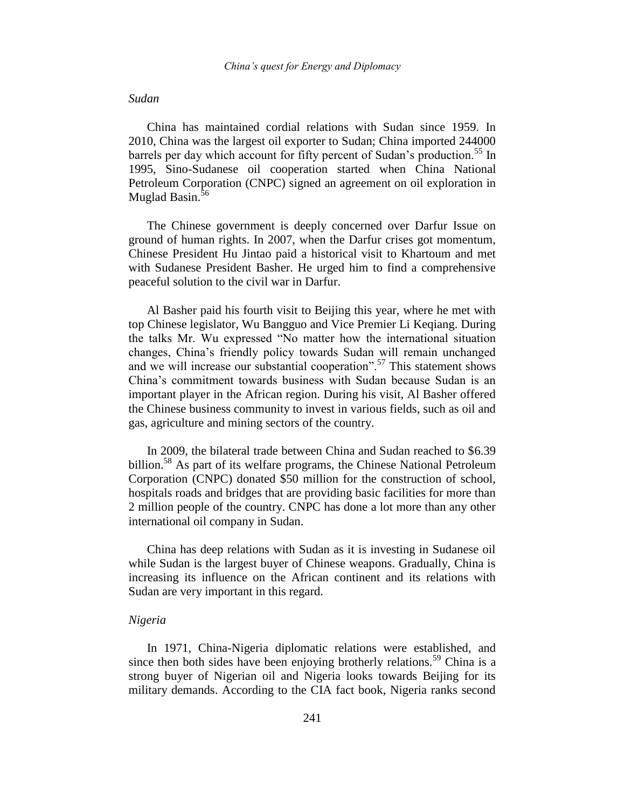### *Sudan*

China has maintained cordial relations with Sudan since 1959. In 2010, China was the largest oil exporter to Sudan; China imported 244000 barrels per day which account for fifty percent of Sudan's production.<sup>55</sup> In 1995, Sino-Sudanese oil cooperation started when China National Petroleum Corporation (CNPC) signed an agreement on oil exploration in Muglad Basin.<sup>56</sup>

The Chinese government is deeply concerned over Darfur Issue on ground of human rights. In 2007, when the Darfur crises got momentum, Chinese President Hu Jintao paid a historical visit to Khartoum and met with Sudanese President Basher. He urged him to find a comprehensive peaceful solution to the civil war in Darfur.

Al Basher paid his fourth visit to Beijing this year, where he met with top Chinese legislator, Wu Bangguo and Vice Premier Li Keqiang. During the talks Mr. Wu expressed "No matter how the international situation changes, China"s friendly policy towards Sudan will remain unchanged and we will increase our substantial cooperation".<sup>57</sup> This statement shows China"s commitment towards business with Sudan because Sudan is an important player in the African region. During his visit, Al Basher offered the Chinese business community to invest in various fields, such as oil and gas, agriculture and mining sectors of the country.

In 2009, the bilateral trade between China and Sudan reached to \$6.39 billion.<sup>58</sup> As part of its welfare programs, the Chinese National Petroleum Corporation (CNPC) donated \$50 million for the construction of school, hospitals roads and bridges that are providing basic facilities for more than 2 million people of the country. CNPC has done a lot more than any other international oil company in Sudan.

China has deep relations with Sudan as it is investing in Sudanese oil while Sudan is the largest buyer of Chinese weapons. Gradually, China is increasing its influence on the African continent and its relations with Sudan are very important in this regard.

### *Nigeria*

In 1971, China-Nigeria diplomatic relations were established, and since then both sides have been enjoying brotherly relations.<sup>59</sup> China is a strong buyer of Nigerian oil and Nigeria looks towards Beijing for its military demands. According to the CIA fact book, Nigeria ranks second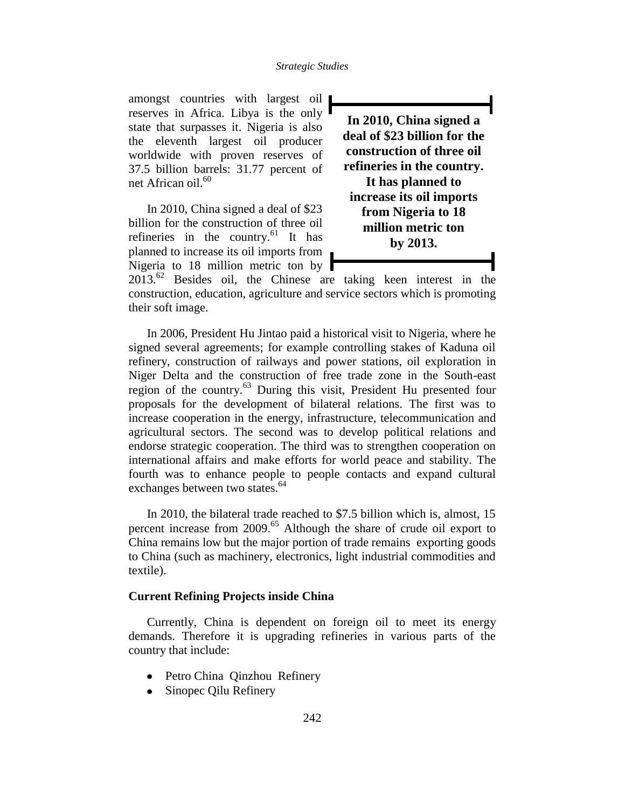amongst countries with largest oil reserves in Africa. Libya is the only state that surpasses it. Nigeria is also the eleventh largest oil producer worldwide with proven reserves of 37.5 billion barrels: 31.77 percent of net African oil.<sup>60</sup>

In 2010, China signed a deal of \$23 billion for the construction of three oil refineries in the country.<sup>61</sup> It has planned to increase its oil imports from Nigeria to 18 million metric ton by

**In 2010, China signed a deal of \$23 billion for the construction of three oil refineries in the country. It has planned to increase its oil imports from Nigeria to 18 million metric ton by 2013.**

 $2013.^{62}$  Besides oil, the Chinese are taking keen interest in the construction, education, agriculture and service sectors which is promoting their soft image.

In 2006, President Hu Jintao paid a historical visit to Nigeria, where he signed several agreements; for example controlling stakes of Kaduna oil refinery, construction of railways and power stations, oil exploration in Niger Delta and the construction of free trade zone in the South-east region of the country.<sup>63</sup> During this visit, President Hu presented four proposals for the development of bilateral relations. The first was to increase cooperation in the energy, infrastructure, telecommunication and agricultural sectors. The second was to develop political relations and endorse strategic cooperation. The third was to strengthen cooperation on international affairs and make efforts for world peace and stability. The fourth was to enhance people to people contacts and expand cultural exchanges between two states.<sup>64</sup>

In 2010, the bilateral trade reached to \$7.5 billion which is, almost, 15 percent increase from 2009.<sup>65</sup> Although the share of crude oil export to China remains low but the major portion of trade remains exporting goods to China (such as machinery, electronics, light industrial commodities and textile).

# **Current Refining Projects inside China**

Currently, China is dependent on foreign oil to meet its energy demands. Therefore it is upgrading refineries in various parts of the country that include:

- Petro China Qinzhou Refinery
- Sinopec Qilu Refinery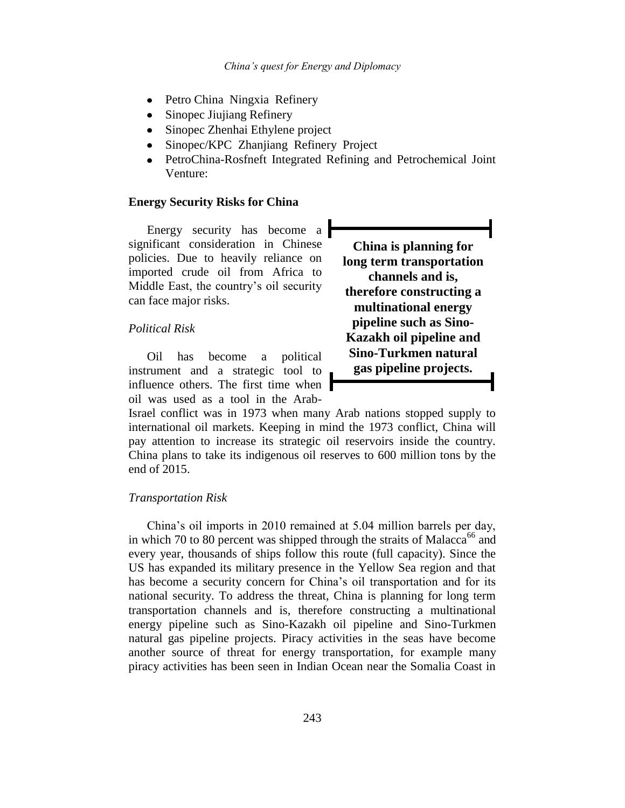- $\bullet$ Petro China Ningxia Refinery
- Sinopec Jiujiang Refinery  $\bullet$
- Sinopec Zhenhai Ethylene project  $\bullet$
- $\bullet$ Sinopec/KPC Zhanjiang Refinery Project
- PetroChina-Rosfneft Integrated Refining and Petrochemical Joint Venture:

# **Energy Security Risks for China**

Energy security has become a significant consideration in Chinese policies. Due to heavily reliance on imported crude oil from Africa to Middle East, the country"s oil security can face major risks.

#### *Political Risk*

Oil has become a political instrument and a strategic tool to influence others. The first time when **F** oil was used as a tool in the Arab-

**China is planning for long term transportation channels and is, therefore constructing a multinational energy pipeline such as Sino-Kazakh oil pipeline and Sino-Turkmen natural gas pipeline projects.**

Israel conflict was in 1973 when many Arab nations stopped supply to international oil markets. Keeping in mind the 1973 conflict, China will pay attention to increase its strategic oil reservoirs inside the country. China plans to take its indigenous oil reserves to 600 million tons by the end of 2015.

#### *Transportation Risk*

China"s oil imports in 2010 remained at 5.04 million barrels per day, in which 70 to 80 percent was shipped through the straits of Malacca<sup>66</sup> and every year, thousands of ships follow this route (full capacity). Since the US has expanded its military presence in the Yellow Sea region and that has become a security concern for China"s oil transportation and for its national security. To address the threat, China is planning for long term transportation channels and is, therefore constructing a multinational energy pipeline such as Sino-Kazakh oil pipeline and Sino-Turkmen natural gas pipeline projects. Piracy activities in the seas have become another source of threat for energy transportation, for example many piracy activities has been seen in Indian Ocean near the Somalia Coast in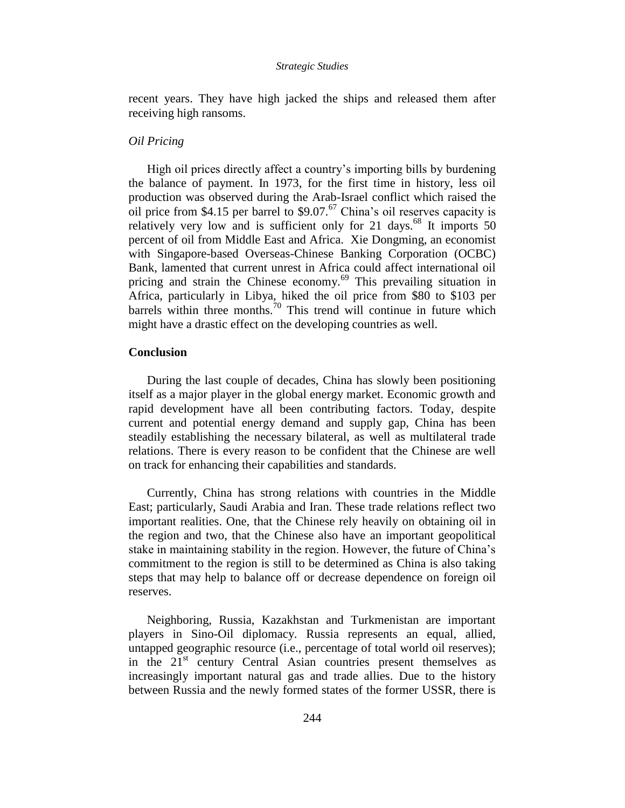recent years. They have high jacked the ships and released them after receiving high ransoms.

# *Oil Pricing*

High oil prices directly affect a country"s importing bills by burdening the balance of payment. In 1973, for the first time in history, less oil production was observed during the Arab-Israel conflict which raised the oil price from \$4.15 per barrel to \$9.07. $^{67}$  China's oil reserves capacity is relatively very low and is sufficient only for 21 days.<sup>68</sup> It imports 50 percent of oil from Middle East and Africa. Xie Dongming, an economist with Singapore-based Overseas-Chinese Banking Corporation (OCBC) Bank, lamented that current unrest in Africa could affect international oil pricing and strain the Chinese economy.<sup>69</sup> This prevailing situation in Africa, particularly in Libya, hiked the oil price from \$80 to \$103 per barrels within three months. $\frac{70}{10}$  This trend will continue in future which might have a drastic effect on the developing countries as well.

# **Conclusion**

During the last couple of decades, China has slowly been positioning itself as a major player in the global energy market. Economic growth and rapid development have all been contributing factors. Today, despite current and potential energy demand and supply gap, China has been steadily establishing the necessary bilateral, as well as multilateral trade relations. There is every reason to be confident that the Chinese are well on track for enhancing their capabilities and standards.

Currently, China has strong relations with countries in the Middle East; particularly, Saudi Arabia and Iran. These trade relations reflect two important realities. One, that the Chinese rely heavily on obtaining oil in the region and two, that the Chinese also have an important geopolitical stake in maintaining stability in the region. However, the future of China"s commitment to the region is still to be determined as China is also taking steps that may help to balance off or decrease dependence on foreign oil reserves.

Neighboring, Russia, Kazakhstan and Turkmenistan are important players in Sino-Oil diplomacy. Russia represents an equal, allied, untapped geographic resource (i.e., percentage of total world oil reserves); in the  $21<sup>st</sup>$  century Central Asian countries present themselves as increasingly important natural gas and trade allies. Due to the history between Russia and the newly formed states of the former USSR, there is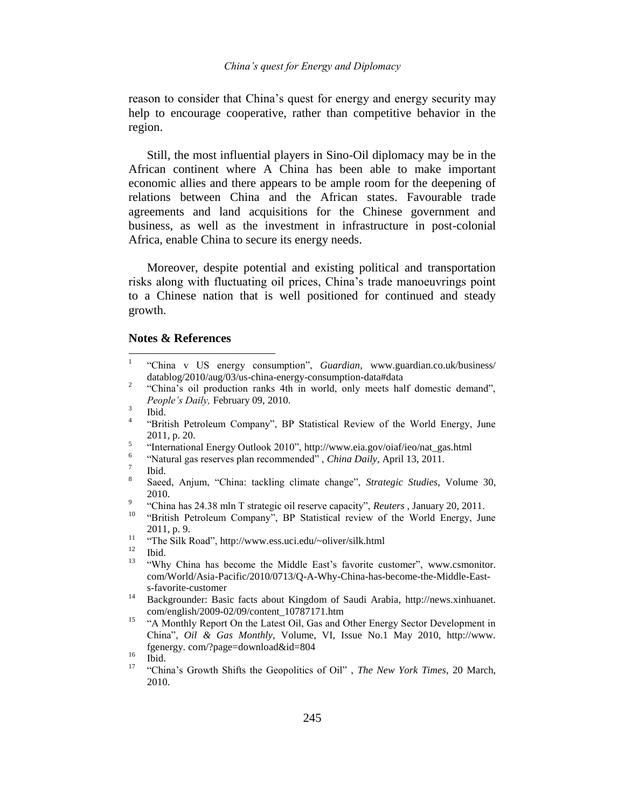reason to consider that China"s quest for energy and energy security may help to encourage cooperative, rather than competitive behavior in the region.

Still, the most influential players in Sino-Oil diplomacy may be in the African continent where A China has been able to make important economic allies and there appears to be ample room for the deepening of relations between China and the African states. Favourable trade agreements and land acquisitions for the Chinese government and business, as well as the investment in infrastructure in post-colonial Africa, enable China to secure its energy needs.

Moreover, despite potential and existing political and transportation risks along with fluctuating oil prices, China"s trade manoeuvrings point to a Chinese nation that is well positioned for continued and steady growth.

#### **Notes & References**

- $\frac{1}{1}$ "China v US energy consumption", *Guardian*, [www.guardian.co.uk/business/](http://www.guardian.co.uk/business/datablog/2010/aug/03/us-china-energy-consumption-data#data) [datablog/2010/aug/03/us-china-energy-consumption-data#data](http://www.guardian.co.uk/business/datablog/2010/aug/03/us-china-energy-consumption-data#data)
- 2 "China's oil production ranks 4th in world, only meets half domestic demand", *People's Daily,* February 09, 2010.

- 4 "British Petroleum Company", BP Statistical Review of the World Energy, June 2011, p. 20.
- 5 "International Energy Outlook 2010", [http://www.eia.gov/oiaf/ieo/nat\\_gas.html](http://www.eia.gov/oiaf/ieo/nat_gas.html)

6 "Natural gas reserves plan recommended" , *China Daily*, April 13, 2011.

- 8 Saeed, Anjum, "China: tackling climate change", *Strategic Studies*, Volume 30, 2010.
- 9 "China has 24.38 mln T strategic oil reserve capacity", *Reuters* , January 20, 2011.
- <sup>10</sup> "British Petroleum Company", BP Statistical review of the World Energy, June 2011, p. 9.
- <sup>11</sup> "The Silk Road"[, http://www.ess.uci.edu/~oliver/silk.html](http://www.ess.uci.edu/~oliver/silk.html)

- "Why China has become the Middle East's favorite customer", [www.csmonitor.](http://www.csmonitor.com/World/Asia-Pacific/2010/0713/Q-A-Why-China-has-become-the-Middle-East-s-favorite-customer) [com/World/Asia-Pacific/2010/0713/Q-A-Why-China-has-become-the-Middle-East](http://www.csmonitor.com/World/Asia-Pacific/2010/0713/Q-A-Why-China-has-become-the-Middle-East-s-favorite-customer)[s-favorite-customer](http://www.csmonitor.com/World/Asia-Pacific/2010/0713/Q-A-Why-China-has-become-the-Middle-East-s-favorite-customer)
- <sup>14</sup> Backgrounder: Basic facts about Kingdom of Saudi Arabia, [http://news.xinhuanet.](http://news.xinhuanet.com/english/2009-02/09/content_10787171.htm) [com/english/2009-02/09/content\\_10787171.htm](http://news.xinhuanet.com/english/2009-02/09/content_10787171.htm)
- <sup>15</sup> "A Monthly Report On the Latest Oil, Gas and Other Energy Sector Development in China", *Oil & Gas Monthly*, Volume, VI, Issue No.1 May 2010, http://www. fgenergy. com/?page=download&id=804

<sup>3</sup> Ibid.

<sup>7</sup> Ibid.

 $\frac{12}{13}$  Ibid.

 $\frac{16}{17}$  Ibid.

<sup>17</sup> "China"s Growth Shifts the Geopolitics of Oil" , *The New York Times*, 20 March, 2010.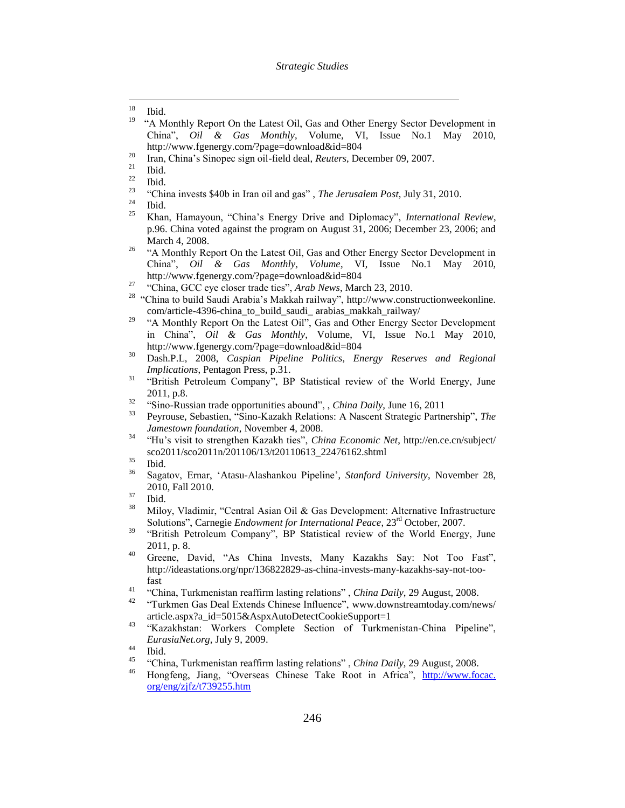<sup>20</sup> Iran, China's Sinopec sign oil-field deal, *Reuters*, December 09, 2007.

<sup>23</sup> "China invests \$40b in Iran oil and gas", *The Jerusalem Post*, July 31, 2010.

- <sup>25</sup> Khan, Hamayoun, "China"s Energy Drive and Diplomacy", *International Review*, p.96. China voted against the program on August 31, 2006; December 23, 2006; and March 4, 2008.
- <sup>26</sup> "A Monthly Report On the Latest Oil, Gas and Other Energy Sector Development in China", *Oil & Gas Monthly, Volume*, VI, Issue No.1 May 2010, http://www.fgenergy.com/?page=download&id=804
- <sup>27</sup> "China, GCC eye closer trade ties", *Arab News*, March 23, 2010.
- <sup>28</sup> "China to build Saudi Arabia's Makkah railway", [http://www.constructionweekonline.](http://www.constructionweekonline.com/article-4396-china_to_build_saudi_arabias_makkah_railway/) [com/article-4396-china\\_to\\_build\\_saudi\\_](http://www.constructionweekonline.com/article-4396-china_to_build_saudi_arabias_makkah_railway/) arabias\_makkah\_railway/
- <sup>29</sup> "A Monthly Report On the Latest Oil", Gas and Other Energy Sector Development in China", *Oil & Gas Monthly*, Volume, VI, Issue No.1 May 2010, http://www.fgenergy.com/?page=download&id=804
- <sup>30</sup> Dash.P.L, 2008, *Caspian Pipeline Politics, Energy Reserves and Regional Implications*, Pentagon Press, p.31.
- <sup>31</sup> "British Petroleum Company", BP Statistical review of the World Energy, June 2011, p.8.
- <sup>32</sup> "Sino-Russian trade opportunities abound", , *China Daily*, June 16, 2011
- <sup>33</sup> [Peyrouse, Sebastien,](http://www.jamestown.org/articles-by-author/?no_cache=1&tx_cablanttnewsstaffrelation_pi1%5Bauthor%5D=421) "Sino-Kazakh Relations: A Nascent Strategic Partnership", *The Jamestown foundation*, November 4, 2008.
- <sup>34</sup> "Hu"s visit to strengthen Kazakh ties", *China Economic Net*, [http://en.ce.cn/subject/](http://en.ce.cn/subject/sco2011/sco2011n/201106/13/t20110613_22476162.shtml) [sco2011/sco2011n/201106/13/t20110613\\_22476162.shtml](http://en.ce.cn/subject/sco2011/sco2011n/201106/13/t20110613_22476162.shtml)

<sup>36</sup> Sagatov, Ernar, "Atasu-Alashankou Pipeline", *Stanford University*, November 28, 2010, Fall 2010.

- <sup>39</sup> "British Petroleum Company", BP Statistical review of the World Energy, June 2011, p. 8.
- <sup>40</sup> Greene, David, "As China Invests, Many Kazakhs Say: Not Too Fast", [http://ideastations.org/npr/136822829-as-china-invests-many-kazakhs-say-not-too](http://ideastations.org/npr/136822829-as-china-invests-many-kazakhs-say-not-too-fast)[fast](http://ideastations.org/npr/136822829-as-china-invests-many-kazakhs-say-not-too-fast)
- <sup>41</sup> "China, Turkmenistan reaffirm lasting relations" , *China Daily*, 29 August, 2008.
- <sup>42</sup> "Turkmen Gas Deal Extends Chinese Influence", [www.downstreamtoday.com/news/](http://www.downstreamtoday.com/news/article.aspx?a_id=5015&AspxAutoDetectCookieSupport=1) [article.aspx?a\\_id=5015&AspxAutoDetectCookieSupport=1](http://www.downstreamtoday.com/news/article.aspx?a_id=5015&AspxAutoDetectCookieSupport=1)
- <sup>43</sup> "Kazakhstan: Workers Complete Section of Turkmenistan-China Pipeline", *EurasiaNet.org,* July 9, 2009.

- <sup>45</sup> "China, Turkmenistan reaffirm lasting relations" , *China Daily,* 29 August, 2008.
- <sup>46</sup> Hongfeng, Jiang, "Overseas Chinese Take Root in Africa", http://www.focac. org/eng/zjfz/t739255.htm

<sup>18</sup> Ibid.

<sup>19</sup> "A Monthly Report On the Latest Oil, Gas and Other Energy Sector Development in China", *Oil & Gas Monthly*, Volume, VI, Issue No.1 May 2010, http://www.fgenergy.com/?page=download&id=804

 $rac{21}{22}$  Ibid.

 $rac{22}{23}$  Ibid.

 $\frac{24}{25}$  Ibid.

 $rac{35}{36}$  Ibid.

 $rac{37}{38}$  Ibid.

<sup>38</sup> Miloy, Vladimir, "Central Asian Oil & Gas Development: Alternative Infrastructure Solutions", [Carnegie](http://en.wikipedia.org/wiki/Kazakhstan%E2%80%93China_oil_pipeline) *Endowment for International Peace*, 23rd October, 2007.

 $rac{44}{45}$  Ibid.